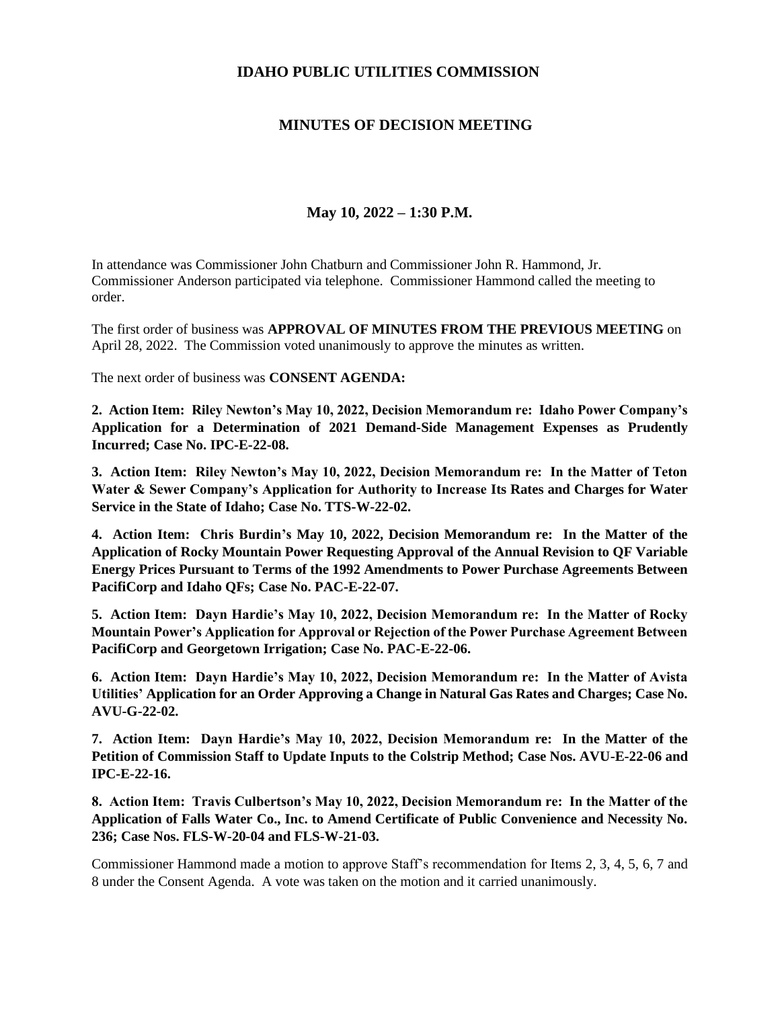## **IDAHO PUBLIC UTILITIES COMMISSION**

## **MINUTES OF DECISION MEETING**

## **May 10, 2022 – 1:30 P.M.**

In attendance was Commissioner John Chatburn and Commissioner John R. Hammond, Jr. Commissioner Anderson participated via telephone. Commissioner Hammond called the meeting to order.

The first order of business was **APPROVAL OF MINUTES FROM THE PREVIOUS MEETING** on April 28, 2022. The Commission voted unanimously to approve the minutes as written.

The next order of business was **CONSENT AGENDA:**

**2. Action Item: Riley Newton's May 10, 2022, Decision Memorandum re: Idaho Power Company's Application for a Determination of 2021 Demand-Side Management Expenses as Prudently Incurred; Case No. IPC-E-22-08.**

**3. Action Item: Riley Newton's May 10, 2022, Decision Memorandum re: In the Matter of Teton Water & Sewer Company's Application for Authority to Increase Its Rates and Charges for Water Service in the State of Idaho; Case No. TTS-W-22-02.** 

**4. Action Item: Chris Burdin's May 10, 2022, Decision Memorandum re: In the Matter of the Application of Rocky Mountain Power Requesting Approval of the Annual Revision to QF Variable Energy Prices Pursuant to Terms of the 1992 Amendments to Power Purchase Agreements Between PacifiCorp and Idaho QFs; Case No. PAC-E-22-07.**

**5. Action Item: Dayn Hardie's May 10, 2022, Decision Memorandum re: In the Matter of Rocky Mountain Power's Application for Approval or Rejection of the Power Purchase Agreement Between PacifiCorp and Georgetown Irrigation; Case No. PAC-E-22-06.**

**6. Action Item: Dayn Hardie's May 10, 2022, Decision Memorandum re: In the Matter of Avista Utilities' Application for an Order Approving a Change in Natural Gas Rates and Charges; Case No. AVU-G-22-02.**

**7. Action Item: Dayn Hardie's May 10, 2022, Decision Memorandum re: In the Matter of the Petition of Commission Staff to Update Inputs to the Colstrip Method; Case Nos. AVU-E-22-06 and IPC-E-22-16.**

**8. Action Item: Travis Culbertson's May 10, 2022, Decision Memorandum re: In the Matter of the Application of Falls Water Co., Inc. to Amend Certificate of Public Convenience and Necessity No. 236; Case Nos. FLS-W-20-04 and FLS-W-21-03.**

Commissioner Hammond made a motion to approve Staff's recommendation for Items 2, 3, 4, 5, 6, 7 and 8 under the Consent Agenda. A vote was taken on the motion and it carried unanimously.